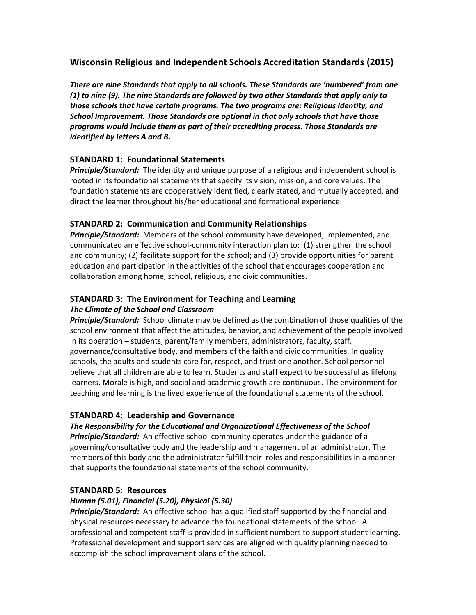# **Wisconsin Religious and Independent Schools Accreditation Standards (2015)**

*There are nine Standards that apply to all schools. These Standards are 'numbered' from one (1) to nine (9). The nine Standards are followed by two other Standards that apply only to those schools that have certain programs. The two programs are: Religious Identity, and School Improvement. Those Standards are optional in that only schools that have those programs would include them as part of their accrediting process. Those Standards are identified by letters A and B.*

## **STANDARD 1: Foundational Statements**

*Principle/Standard:* The identity and unique purpose of a religious and independent school is rooted in its foundational statements that specify its vision, mission, and core values. The foundation statements are cooperatively identified, clearly stated, and mutually accepted, and direct the learner throughout his/her educational and formational experience.

## **STANDARD 2: Communication and Community Relationships**

*Principle/Standard:* Members of the school community have developed, implemented, and communicated an effective school-community interaction plan to: (1) strengthen the school and community; (2) facilitate support for the school; and (3) provide opportunities for parent education and participation in the activities of the school that encourages cooperation and collaboration among home, school, religious, and civic communities.

#### **STANDARD 3: The Environment for Teaching and Learning** *The Climate of the School and Classroom*

*Principle/Standard:* School climate may be defined as the combination of those qualities of the school environment that affect the attitudes, behavior, and achievement of the people involved in its operation – students, parent/family members, administrators, faculty, staff, governance/consultative body, and members of the faith and civic communities. In quality schools, the adults and students care for, respect, and trust one another. School personnel believe that all children are able to learn. Students and staff expect to be successful as lifelong learners. Morale is high, and social and academic growth are continuous. The environment for teaching and learning is the lived experience of the foundational statements of the school.

## **STANDARD 4: Leadership and Governance**

## *The Responsibility for the Educational and Organizational Effectiveness of the School*

*Principle/Standard:* An effective school community operates under the guidance of a governing/consultative body and the leadership and management of an administrator. The members of this body and the administrator fulfill their roles and responsibilities in a manner that supports the foundational statements of the school community.

## **STANDARD 5: Resources**

## *Human (5.01), Financial (5.20), Physical (5.30)*

*Principle/Standard:* An effective school has a qualified staff supported by the financial and physical resources necessary to advance the foundational statements of the school. A professional and competent staff is provided in sufficient numbers to support student learning. Professional development and support services are aligned with quality planning needed to accomplish the school improvement plans of the school.